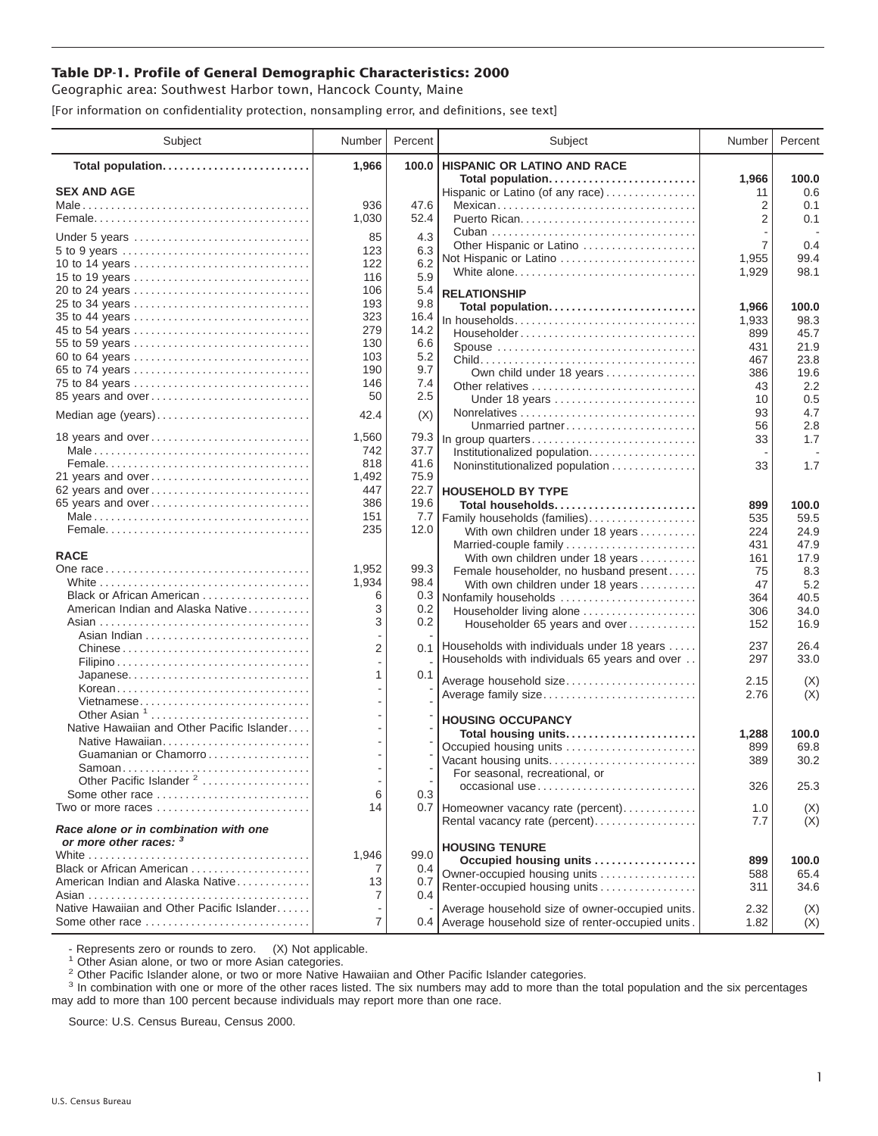## **Table DP-1. Profile of General Demographic Characteristics: 2000**

Geographic area: Southwest Harbor town, Hancock County, Maine

[For information on confidentiality protection, nonsampling error, and definitions, see text]

| Subject                                                         | Number         | Percent      | Subject                                                               | Number         | Percent       |
|-----------------------------------------------------------------|----------------|--------------|-----------------------------------------------------------------------|----------------|---------------|
| Total population                                                | 1,966          | 100.0        | <b>HISPANIC OR LATINO AND RACE</b>                                    |                |               |
| <b>SEX AND AGE</b>                                              |                |              | Total population                                                      | 1,966          | 100.0<br>0.6  |
|                                                                 | 936            | 47.6         | Hispanic or Latino (of any race)<br>Mexican                           | 11<br>2        | 0.1           |
|                                                                 | 1,030          | 52.4         |                                                                       | $\overline{2}$ | 0.1           |
|                                                                 |                |              |                                                                       |                |               |
| Under 5 years                                                   | 85             | 4.3          | Other Hispanic or Latino                                              | 7              | 0.4           |
| 5 to 9 years<br>10 to 14 years                                  | 123<br>122     | 6.3<br>6.2   | Not Hispanic or Latino                                                | 1,955          | 99.4          |
|                                                                 | 116            | 5.9          | White alone                                                           | 1,929          | 98.1          |
| 20 to 24 years                                                  | 106            | 5.4          |                                                                       |                |               |
| 25 to 34 years                                                  | 193            | 9.8          | <b>RELATIONSHIP</b><br>Total population                               | 1,966          | 100.0         |
| 35 to 44 years                                                  | 323            | 16.4         | In households                                                         | 1,933          | 98.3          |
| 45 to 54 years                                                  | 279            | 14.2         | Householder                                                           | 899            | 45.7          |
| 55 to 59 years                                                  | 130            | 6.6          | Spouse                                                                | 431            | 21.9          |
| 60 to 64 years                                                  | 103            | 5.2          |                                                                       | 467            | 23.8          |
| 65 to 74 years                                                  | 190            | 9.7          | Own child under 18 years                                              | 386            | 19.6          |
| 75 to 84 years                                                  | 146            | 7.4          |                                                                       | 43             | 2.2           |
| 85 years and over                                               | 50             | 2.5          | Under 18 years                                                        | 10             | 0.5           |
| Median age (years)                                              | 42.4           | (X)          |                                                                       | 93             | 4.7           |
|                                                                 |                |              | Unmarried partner                                                     | 56             | 2.8           |
| 18 years and over                                               | 1,560<br>742   | 79.3<br>37.7 | In group quarters                                                     | 33             | 1.7           |
|                                                                 | 818            | 41.6         | Institutionalized population                                          |                |               |
| 21 years and over                                               | 1,492          | 75.9         | Noninstitutionalized population                                       | 33             | 1.7           |
| 62 years and over                                               | 447            | 22.7         | <b>HOUSEHOLD BY TYPE</b>                                              |                |               |
| 65 years and over                                               | 386            | 19.6         | Total households                                                      | 899            | 100.0         |
|                                                                 | 151            | 7.7          | Family households (families)                                          | 535            | 59.5          |
|                                                                 | 235            | 12.0         | With own children under 18 years                                      | 224            | 24.9          |
|                                                                 |                |              | Married-couple family                                                 | 431            | 47.9          |
| <b>RACE</b>                                                     |                |              | With own children under 18 years                                      | 161            | 17.9          |
|                                                                 | 1,952          | 99.3         | Female householder, no husband present                                | 75             | 8.3           |
|                                                                 | 1,934          | 98.4         | With own children under 18 years                                      | 47             | 5.2           |
| Black or African American                                       | 6              | 0.3          | Nonfamily households                                                  | 364            | 40.5          |
| American Indian and Alaska Native                               | 3              | 0.2          | Householder living alone                                              | 306            | 34.0          |
|                                                                 | 3              | $0.2\,$      | Householder 65 years and over                                         | 152            | 16.9          |
|                                                                 | $\overline{2}$ | 0.1          | Households with individuals under 18 years                            | 237            | 26.4          |
|                                                                 |                |              | Households with individuals 65 years and over                         | 297            | 33.0          |
| Japanese                                                        | 1              | 0.1          |                                                                       |                |               |
| Korean                                                          |                |              | Average household size                                                | 2.15           | (X)           |
| Vietnamese                                                      |                |              | Average family size                                                   | 2.76           | (X)           |
| Other Asian <sup>1</sup>                                        |                |              | <b>HOUSING OCCUPANCY</b>                                              |                |               |
| Native Hawaiian and Other Pacific Islander                      |                |              | Total housing units                                                   | 1,288          | 100.0         |
| Native Hawaiian                                                 |                |              | Occupied housing units                                                | 899            | 69.8          |
| Guamanian or Chamorro                                           |                |              | Vacant housing units                                                  | 389            | 30.2          |
| Samoan                                                          |                |              | For seasonal, recreational, or                                        |                |               |
| Other Pacific Islander <sup>2</sup>                             |                |              | occasional use                                                        | 326            | 25.3          |
| Some other race<br>Two or more races                            | 6<br>14        | 0.3          |                                                                       | 1.0            |               |
|                                                                 |                |              | 0.7 Homeowner vacancy rate (percent)<br>Rental vacancy rate (percent) | 7.7            | (X)<br>(X)    |
| Race alone or in combination with one<br>or more other races: 3 |                |              |                                                                       |                |               |
|                                                                 | 1,946          | 99.0         | <b>HOUSING TENURE</b>                                                 |                |               |
| Black or African American                                       | 7              | 0.4          | Occupied housing units<br>Owner-occupied housing units                | 899            | 100.0<br>65.4 |
| American Indian and Alaska Native                               | 13             | 0.7          | Renter-occupied housing units                                         | 588<br>311     | 34.6          |
|                                                                 | 7              | 0.4          |                                                                       |                |               |
| Native Hawaiian and Other Pacific Islander                      |                |              | Average household size of owner-occupied units.                       | 2.32           | (X)           |
| Some other race                                                 | 7              |              | 0.4 Average household size of renter-occupied units.                  | 1.82           | (X)           |

- Represents zero or rounds to zero. (X) Not applicable.<br><sup>1</sup> Other Asian alone, or two or more Asian categories.

<sup>2</sup> Other Pacific Islander alone, or two or more Native Hawaiian and Other Pacific Islander categories.<br><sup>3</sup> In combination with one or more of the other races listed. The six numbers may add to more than the total populati may add to more than 100 percent because individuals may report more than one race.

Source: U.S. Census Bureau, Census 2000.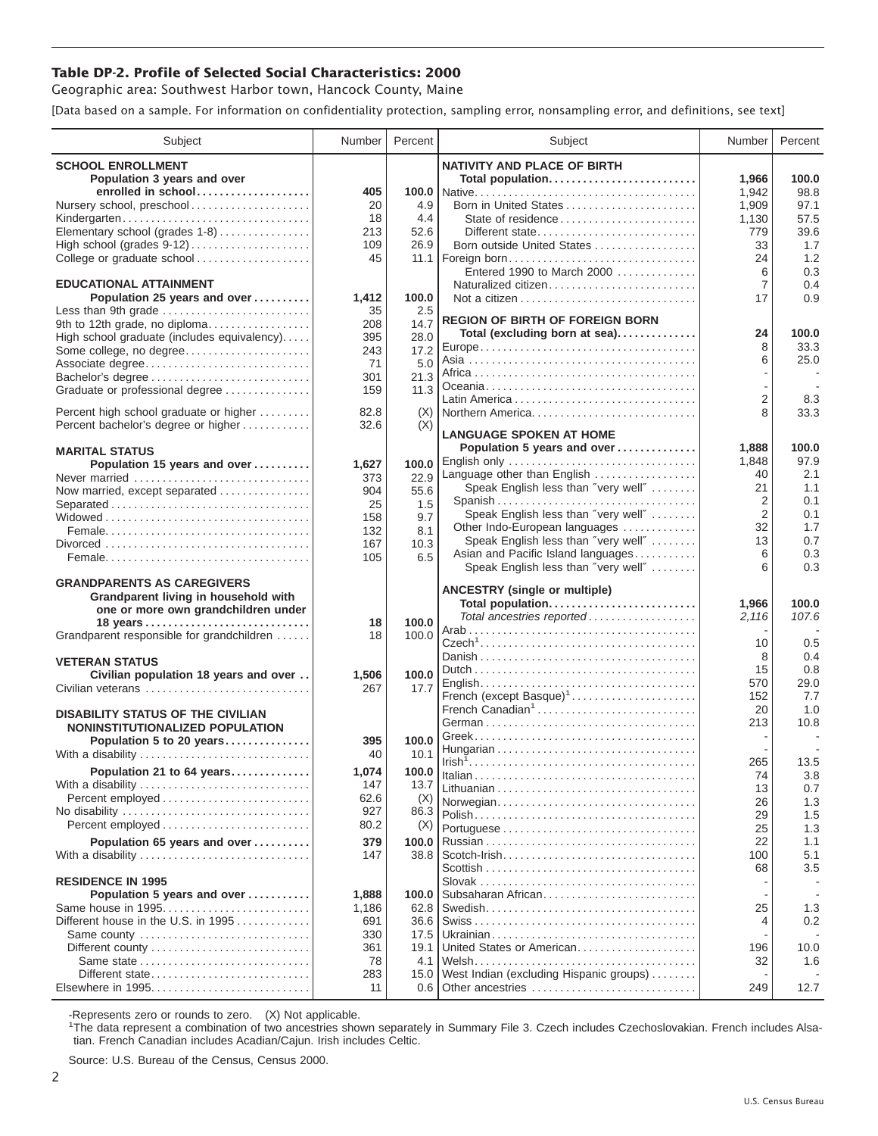## **Table DP-2. Profile of Selected Social Characteristics: 2000**

Geographic area: Southwest Harbor town, Hancock County, Maine

[Data based on a sample. For information on confidentiality protection, sampling error, nonsampling error, and definitions, see text]

| Subject                                                                       | Number | Percent    | Subject                                 | Number              | Percent    |
|-------------------------------------------------------------------------------|--------|------------|-----------------------------------------|---------------------|------------|
| <b>SCHOOL ENROLLMENT</b>                                                      |        |            | <b>NATIVITY AND PLACE OF BIRTH</b>      |                     |            |
| Population 3 years and over                                                   |        |            | Total population                        | 1,966               | 100.0      |
| enrolled in school                                                            | 405    |            |                                         | 1,942               | 98.8       |
| Nursery school, preschool                                                     | 20     | 4.9        | Born in United States                   | 1,909               | 97.1       |
| Kindergarten                                                                  | 18     | 4.4        | State of residence                      | 1,130               | 57.5       |
| Elementary school (grades 1-8)                                                | 213    | 52.6       | Different state                         | 779                 | 39.6       |
| High school (grades 9-12)                                                     | 109    | 26.9       | Born outside United States              | 33                  | 1.7        |
| College or graduate school                                                    | 45     | 11.1       | Foreign born                            | 24                  | 1.2        |
|                                                                               |        |            | Entered 1990 to March 2000              | 6                   | 0.3        |
| <b>EDUCATIONAL ATTAINMENT</b>                                                 |        |            | Naturalized citizen                     | 7                   | 0.4        |
| Population 25 years and over                                                  | 1,412  | 100.0      |                                         | 17                  | 0.9        |
| Less than 9th grade                                                           | 35     | 2.5        |                                         |                     |            |
| 9th to 12th grade, no diploma                                                 | 208    | 14.7       | <b>REGION OF BIRTH OF FOREIGN BORN</b>  |                     |            |
| High school graduate (includes equivalency)                                   | 395    | 28.0       | Total (excluding born at sea)           | 24                  | 100.0      |
| Some college, no degree                                                       | 243    | 17.2       |                                         | 8                   | 33.3       |
| Associate degree                                                              | 71     | 5.0        |                                         | 6                   | 25.0       |
| Bachelor's degree                                                             | 301    | 21.3       |                                         |                     |            |
| Graduate or professional degree                                               | 159    | 11.3       |                                         |                     |            |
|                                                                               | 82.8   |            |                                         | $\overline{2}$<br>8 | 8.3        |
| Percent high school graduate or higher<br>Percent bachelor's degree or higher | 32.6   | (X)<br>(X) | Northern America                        |                     | 33.3       |
|                                                                               |        |            | <b>LANGUAGE SPOKEN AT HOME</b>          |                     |            |
| <b>MARITAL STATUS</b>                                                         |        |            | Population 5 years and over             | 1,888               | 100.0      |
| Population 15 years and over                                                  | 1,627  | 100.0      | English only                            | 1,848               | 97.9       |
| Never married                                                                 | 373    | 22.9       | Language other than English             | 40                  | 2.1        |
| Now married, except separated                                                 | 904    | 55.6       | Speak English less than "very well"     | 21                  | 1.1        |
|                                                                               | 25     | 1.5        | Spanish                                 | $\overline{2}$      | 0.1        |
|                                                                               | 158    | 9.7        | Speak English less than "very well"     | 2                   | 0.1        |
|                                                                               | 132    | 8.1        | Other Indo-European languages           | 32                  | 1.7        |
|                                                                               | 167    | 10.3       | Speak English less than "very well"     | 13                  | 0.7        |
|                                                                               | 105    | 6.5        | Asian and Pacific Island languages      | 6                   | 0.3        |
|                                                                               |        |            | Speak English less than "very well"     | 6                   | 0.3        |
| <b>GRANDPARENTS AS CAREGIVERS</b>                                             |        |            | <b>ANCESTRY</b> (single or multiple)    |                     |            |
| Grandparent living in household with                                          |        |            | Total population                        | 1,966               | 100.0      |
| one or more own grandchildren under                                           |        |            | Total ancestries reported               | 2,116               | 107.6      |
|                                                                               | 18     | 100.0      |                                         |                     |            |
| Grandparent responsible for grandchildren                                     | 18     | 100.0      |                                         | 10                  | 0.5        |
| <b>VETERAN STATUS</b>                                                         |        |            |                                         | 8                   | 0.4        |
| Civilian population 18 years and over                                         | 1,506  | 100.0      |                                         | 15                  | 0.8        |
| Civilian veterans                                                             | 267    | 17.7       |                                         | 570                 | 29.0       |
|                                                                               |        |            | French (except Basque) <sup>1</sup>     | 152                 | 7.7        |
| <b>DISABILITY STATUS OF THE CIVILIAN</b>                                      |        |            | French Canadian <sup>1</sup>            | 20                  | 1.0        |
| NONINSTITUTIONALIZED POPULATION                                               |        |            |                                         | 213                 | 10.8       |
| Population 5 to 20 years                                                      | 395    | 100.0      |                                         |                     |            |
| With a disability                                                             | 40     | 10.1       |                                         |                     |            |
| Population 21 to 64 years                                                     | 1,074  | 100.0      |                                         | 265                 | 13.5       |
| With a disability                                                             | 147    | 13.7       |                                         | 74                  | 3.8        |
|                                                                               | 62.6   | (X)        |                                         | 13                  | 0.7        |
| No disability                                                                 | 927    | 86.3       | Norwegian                               | 26<br>29            | 1.3<br>1.5 |
| Percent employed                                                              | 80.2   | (X)        |                                         | 25                  | 1.3        |
| Population 65 years and over                                                  | 379    | 100.0      |                                         | 22                  | 1.1        |
| With a disability                                                             | 147    | 38.8       | Scotch-Irish                            | 100                 | 5.1        |
|                                                                               |        |            |                                         | 68                  | 3.5        |
| <b>RESIDENCE IN 1995</b>                                                      |        |            |                                         |                     |            |
| Population 5 years and over                                                   | 1,888  | 100.0      | Subsaharan African                      |                     |            |
| Same house in 1995                                                            | 1,186  | 62.8       |                                         | 25                  | 1.3        |
| Different house in the U.S. in 1995                                           | 691    | 36.6       |                                         | 4                   | 0.2        |
| Same county                                                                   | 330    | 17.5       |                                         |                     |            |
| Different county                                                              | 361    | 19.1       | United States or American               | 196                 | 10.0       |
| Same state                                                                    | 78     | 4.1        |                                         | 32                  | 1.6        |
| Different state                                                               | 283    | 15.0       | West Indian (excluding Hispanic groups) |                     |            |
|                                                                               | 11     |            | 0.6 Other ancestries                    | 249                 | 12.7       |

-Represents zero or rounds to zero. (X) Not applicable. 1 The data represent a combination of two ancestries shown separately in Summary File 3. Czech includes Czechoslovakian. French includes Alsatian. French Canadian includes Acadian/Cajun. Irish includes Celtic.

Source: U.S. Bureau of the Census, Census 2000.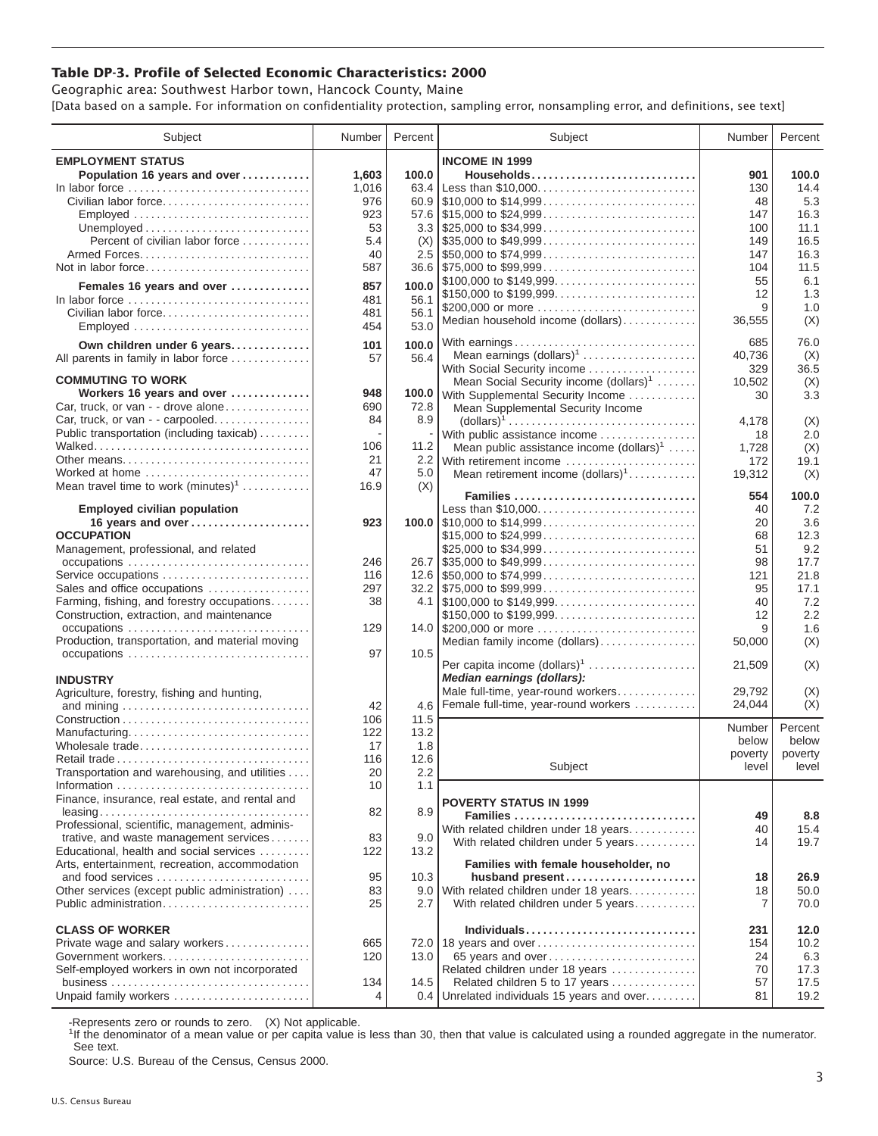## **Table DP-3. Profile of Selected Economic Characteristics: 2000**

Geographic area: Southwest Harbor town, Hancock County, Maine [Data based on a sample. For information on confidentiality protection, sampling error, nonsampling error, and definitions, see text]

| Subject                                         | Number | Percent       | Subject                                                                                | Number  | Percent          |
|-------------------------------------------------|--------|---------------|----------------------------------------------------------------------------------------|---------|------------------|
| <b>EMPLOYMENT STATUS</b>                        |        |               | <b>INCOME IN 1999</b>                                                                  |         |                  |
| Population 16 years and over                    | 1,603  | 100.0         | Households                                                                             | 901     | 100.0            |
| In labor force                                  | 1,016  | 63.4          |                                                                                        | 130     | 14.4             |
| Civilian labor force                            | 976    |               |                                                                                        | 48      | 5.3              |
| Employed                                        | 923    |               |                                                                                        | 147     | 16.3             |
|                                                 | 53     |               |                                                                                        | 100     | 11.1             |
| Percent of civilian labor force                 | 5.4    |               | $\frac{1}{2}$ \$35,000 to \$49,999                                                     | 149     | 16.5             |
|                                                 |        | (X)           |                                                                                        |         |                  |
| Armed Forces                                    | 40     |               |                                                                                        | 147     | 16.3             |
| Not in labor force                              | 587    |               | $36.6$   \$75,000 to \$99,999                                                          | 104     | 11.5             |
| Females 16 years and over                       | 857    | 100.0         | \$100,000 to \$149,999                                                                 | 55      | 6.1              |
| In labor force                                  | 481    | 56.1          | \$150,000 to \$199,999                                                                 | 12      | 1.3              |
| Civilian labor force                            | 481    | 56.1          | \$200,000 or more                                                                      | 9       | 1.0              |
| Employed                                        | 454    | 53.0          | Median household income (dollars)                                                      | 36,555  | (X)              |
|                                                 |        |               | With earnings                                                                          | 685     | 76.0             |
| Own children under 6 years                      | 101    | 100.0         | Mean earnings $(dollars)1$                                                             | 40,736  |                  |
| All parents in family in labor force            | 57     | 56.4          |                                                                                        |         | (X)<br>36.5      |
| <b>COMMUTING TO WORK</b>                        |        |               | With Social Security income                                                            | 329     |                  |
| Workers 16 years and over                       | 948    | 100.0         | Mean Social Security income $(dollars)^1$                                              | 10,502  | (X)              |
|                                                 | 690    |               | With Supplemental Security Income                                                      | 30      | 3.3              |
| Car, truck, or van - - drove alone              |        | 72.8          | Mean Supplemental Security Income                                                      |         |                  |
| Car, truck, or van - - carpooled                | 84     | 8.9           | $\text{(dollars)}^1 \dots \dots \dots \dots \dots \dots \dots \dots \dots \dots \dots$ | 4,178   | (X)              |
| Public transportation (including taxicab)       |        |               | With public assistance income                                                          | 18      | 2.0              |
|                                                 | 106    | 11.2          | Mean public assistance income $(dollars)^1 \ldots$ .                                   | 1,728   | (X)              |
| Other means                                     | 21     |               | 2.2 With retirement income                                                             | 172     | 19.1             |
| Worked at home                                  | 47     | 5.0           | Mean retirement income $(dollars)1$                                                    | 19,312  | (X)              |
| Mean travel time to work $(minutes)^1$          | 16.9   | (X)           | Families                                                                               | 554     | 100.0            |
|                                                 |        |               | Less than \$10,000                                                                     | 40      | 7.2              |
| <b>Employed civilian population</b>             | 923    |               |                                                                                        | 20      | 3.6              |
| 16 years and over<br><b>OCCUPATION</b>          |        |               |                                                                                        |         | 12.3             |
|                                                 |        |               | \$15,000 to \$24,999                                                                   | 68      | 9.2              |
| Management, professional, and related           |        |               |                                                                                        | 51      |                  |
| occupations                                     | 246    |               | $26.7$ \\ \$35,000 to \$49,999                                                         | 98      | 17.7             |
| Service occupations                             | 116    |               |                                                                                        | 121     | 21.8             |
| Sales and office occupations                    | 297    |               | $32.2$ \\ \$75,000 to \$99,999                                                         | 95      | 17.1             |
| Farming, fishing, and forestry occupations      | 38     |               |                                                                                        | 40      | 7.2              |
| Construction, extraction, and maintenance       |        |               | \$150,000 to \$199,999                                                                 | 12      | 2.2              |
| occupations                                     | 129    |               | 14.0 \$200,000 or more                                                                 | 9       | 1.6              |
| Production, transportation, and material moving |        |               | Median family income (dollars)                                                         | 50,000  | (X)              |
|                                                 | 97     | 10.5          |                                                                                        |         |                  |
|                                                 |        |               | Per capita income (dollars) <sup>1</sup>                                               | 21,509  | (X)              |
| <b>INDUSTRY</b>                                 |        |               | Median earnings (dollars):                                                             |         |                  |
| Agriculture, forestry, fishing and hunting,     |        |               | Male full-time, year-round workers                                                     | 29,792  | (X)              |
|                                                 | 42     | 4.6           | Female full-time, year-round workers                                                   | 24,044  | (X)              |
|                                                 | 106    | 11.5          |                                                                                        | Number  | Percent          |
| Manufacturing                                   | 122    | 13.2          |                                                                                        | below   | below            |
| Wholesale trade                                 | 17     | 1.8           |                                                                                        | poverty |                  |
| Retail trade                                    | 116    | 12.6          |                                                                                        | level   | poverty<br>level |
| Transportation and warehousing, and utilities   | 20     | $2.2^{\circ}$ | Subject                                                                                |         |                  |
|                                                 | 10     | 1.1           |                                                                                        |         |                  |
| Finance, insurance, real estate, and rental and |        |               | <b>POVERTY STATUS IN 1999</b>                                                          |         |                  |
|                                                 | 82     | 8.9           | Families                                                                               | 49      | 8.8              |
| Professional, scientific, management, adminis-  |        |               | With related children under 18 years                                                   | 40      | 15.4             |
| trative, and waste management services          | 83     | 9.0           | With related children under 5 years                                                    | 14      | 19.7             |
| Educational, health and social services         | 122    | 13.2          |                                                                                        |         |                  |
| Arts, entertainment, recreation, accommodation  |        |               | Families with female householder, no                                                   |         |                  |
|                                                 | 95     | 10.3          | husband present                                                                        | 18      | 26.9             |
| Other services (except public administration)   | 83     |               | 9.0 With related children under 18 years                                               | 18      | 50.0             |
| Public administration                           | 25     | 2.7           | With related children under 5 years                                                    | 7       | 70.0             |
|                                                 |        |               |                                                                                        |         |                  |
| <b>CLASS OF WORKER</b>                          |        |               | Individuals                                                                            | 231     | 12.0             |
| Private wage and salary workers                 | 665    |               | 72.0 18 years and over                                                                 | 154     | 10.2             |
| Government workers                              | 120    | 13.0          | 65 years and over                                                                      | 24      | 6.3              |
| Self-employed workers in own not incorporated   |        |               | Related children under 18 years                                                        | 70      | 17.3             |
|                                                 | 134    | 14.5          | Related children 5 to 17 years                                                         | 57      | 17.5             |
| Unpaid family workers                           | 4      |               | 0.4 Unrelated individuals 15 years and over                                            | 81      | 19.2             |

-Represents zero or rounds to zero. (X) Not applicable.

<sup>1</sup>If the denominator of a mean value or per capita value is less than 30, then that value is calculated using a rounded aggregate in the numerator. See text.

Source: U.S. Bureau of the Census, Census 2000.